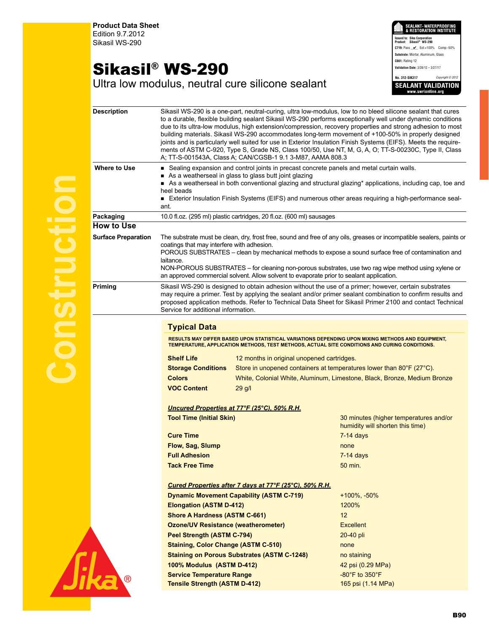**Product Data Sheet** Edition 9.7.2012 Sikasil WS-290

## Sikasil® WS-290

SEALANT•WATERPROOFING<br>& RESTORATION INSTITUTE **Issued to: Sika Corporation Product: Sikasil® WS-290 C719:** Pass \_\_\_\_ Ext:+100% Comp:-50% **Substrate:** Mortar, Aluminum, Glass **C661:** Rating 12 **Validation Date:** 3/28/12 – 3/27/17 **No. 312-SIK317** *Copyright © 2012* **SEALANT VALIDATION** 

Ultra low modulus, neutral cure silicone sealant

| <b>Description</b>         | Sikasil WS-290 is a one-part, neutral-curing, ultra low-modulus, low to no bleed silicone sealant that cures<br>to a durable, flexible building sealant Sikasil WS-290 performs exceptionally well under dynamic conditions<br>due to its ultra-low modulus, high extension/compression, recovery properties and strong adhesion to most<br>building materials. Sikasil WS-290 accommodates long-term movement of +100-50% in properly designed<br>joints and is particularly well suited for use in Exterior Insulation Finish Systems (EIFS). Meets the require-<br>ments of ASTM C-920, Type S, Grade NS, Class 100/50, Use NT, M, G, A, O; TT-S-00230C, Type II, Class<br>A; TT-S-001543A, Class A; CAN/CGSB-1 9.1 3-M87, AAMA 808.3 |                                                        |                                                                                                                                                                                                                                                                                                                                    |  |
|----------------------------|------------------------------------------------------------------------------------------------------------------------------------------------------------------------------------------------------------------------------------------------------------------------------------------------------------------------------------------------------------------------------------------------------------------------------------------------------------------------------------------------------------------------------------------------------------------------------------------------------------------------------------------------------------------------------------------------------------------------------------------|--------------------------------------------------------|------------------------------------------------------------------------------------------------------------------------------------------------------------------------------------------------------------------------------------------------------------------------------------------------------------------------------------|--|
| <b>Where to Use</b>        | Sealing expansion and control joints in precast concrete panels and metal curtain walls.<br>As a weatherseal in glass to glass butt joint glazing<br>As a weatherseal in both conventional glazing and structural glazing* applications, including cap, toe and<br>heel beads<br>Exterior Insulation Finish Systems (EIFS) and numerous other areas requiring a high-performance seal-<br>ant.                                                                                                                                                                                                                                                                                                                                           |                                                        |                                                                                                                                                                                                                                                                                                                                    |  |
| Packaging                  | 10.0 fl.oz. (295 ml) plastic cartridges, 20 fl.oz. (600 ml) sausages                                                                                                                                                                                                                                                                                                                                                                                                                                                                                                                                                                                                                                                                     |                                                        |                                                                                                                                                                                                                                                                                                                                    |  |
| <b>How to Use</b>          |                                                                                                                                                                                                                                                                                                                                                                                                                                                                                                                                                                                                                                                                                                                                          |                                                        |                                                                                                                                                                                                                                                                                                                                    |  |
| <b>Surface Preparation</b> | The substrate must be clean, dry, frost free, sound and free of any oils, greases or incompatible sealers, paints or<br>coatings that may interfere with adhesion.<br>POROUS SUBSTRATES – clean by mechanical methods to expose a sound surface free of contamination and<br>laitance.<br>NON-POROUS SUBSTRATES - for cleaning non-porous substrates, use two rag wipe method using xylene or<br>an approved commercial solvent. Allow solvent to evaporate prior to sealant application.                                                                                                                                                                                                                                                |                                                        |                                                                                                                                                                                                                                                                                                                                    |  |
| <b>Priming</b>             | Service for additional information.                                                                                                                                                                                                                                                                                                                                                                                                                                                                                                                                                                                                                                                                                                      |                                                        | Sikasil WS-290 is designed to obtain adhesion without the use of a primer; however, certain substrates<br>may require a primer. Test by applying the sealant and/or primer sealant combination to confirm results and<br>proposed application methods. Refer to Technical Data Sheet for Sikasil Primer 2100 and contact Technical |  |
|                            |                                                                                                                                                                                                                                                                                                                                                                                                                                                                                                                                                                                                                                                                                                                                          |                                                        |                                                                                                                                                                                                                                                                                                                                    |  |
|                            | <b>Typical Data</b>                                                                                                                                                                                                                                                                                                                                                                                                                                                                                                                                                                                                                                                                                                                      |                                                        |                                                                                                                                                                                                                                                                                                                                    |  |
|                            | RESULTS MAY DIFFER BASED UPON STATISTICAL VARIATIONS DEPENDING UPON MIXING METHODS AND EQUIPMENT,<br>TEMPERATURE, APPLICATION METHODS, TEST METHODS, ACTUAL SITE CONDITIONS AND CURING CONDITIONS.                                                                                                                                                                                                                                                                                                                                                                                                                                                                                                                                       |                                                        |                                                                                                                                                                                                                                                                                                                                    |  |
|                            | <b>Shelf Life</b><br>12 months in original unopened cartridges.                                                                                                                                                                                                                                                                                                                                                                                                                                                                                                                                                                                                                                                                          |                                                        |                                                                                                                                                                                                                                                                                                                                    |  |
|                            | Store in unopened containers at temperatures lower than 80°F (27°C).                                                                                                                                                                                                                                                                                                                                                                                                                                                                                                                                                                                                                                                                     |                                                        |                                                                                                                                                                                                                                                                                                                                    |  |
|                            |                                                                                                                                                                                                                                                                                                                                                                                                                                                                                                                                                                                                                                                                                                                                          |                                                        |                                                                                                                                                                                                                                                                                                                                    |  |
|                            | <b>Storage Conditions</b><br><b>Colors</b>                                                                                                                                                                                                                                                                                                                                                                                                                                                                                                                                                                                                                                                                                               |                                                        | White, Colonial White, Aluminum, Limestone, Black, Bronze, Medium Bronze                                                                                                                                                                                                                                                           |  |
|                            | <b>VOC Content</b>                                                                                                                                                                                                                                                                                                                                                                                                                                                                                                                                                                                                                                                                                                                       | $29$ g/l                                               |                                                                                                                                                                                                                                                                                                                                    |  |
|                            |                                                                                                                                                                                                                                                                                                                                                                                                                                                                                                                                                                                                                                                                                                                                          |                                                        |                                                                                                                                                                                                                                                                                                                                    |  |
|                            |                                                                                                                                                                                                                                                                                                                                                                                                                                                                                                                                                                                                                                                                                                                                          | Uncured Properties at 77°F (25°C), 50% R.H.            |                                                                                                                                                                                                                                                                                                                                    |  |
|                            | <b>Tool Time (Initial Skin)</b>                                                                                                                                                                                                                                                                                                                                                                                                                                                                                                                                                                                                                                                                                                          |                                                        | 30 minutes (higher temperatures and/or<br>humidity will shorten this time)                                                                                                                                                                                                                                                         |  |
|                            | <b>Cure Time</b>                                                                                                                                                                                                                                                                                                                                                                                                                                                                                                                                                                                                                                                                                                                         |                                                        | $7-14$ days                                                                                                                                                                                                                                                                                                                        |  |
|                            | Flow, Sag, Slump                                                                                                                                                                                                                                                                                                                                                                                                                                                                                                                                                                                                                                                                                                                         |                                                        | none                                                                                                                                                                                                                                                                                                                               |  |
|                            | <b>Full Adhesion</b>                                                                                                                                                                                                                                                                                                                                                                                                                                                                                                                                                                                                                                                                                                                     |                                                        | $7-14$ days                                                                                                                                                                                                                                                                                                                        |  |
|                            | <b>Tack Free Time</b>                                                                                                                                                                                                                                                                                                                                                                                                                                                                                                                                                                                                                                                                                                                    |                                                        | 50 min.                                                                                                                                                                                                                                                                                                                            |  |
|                            |                                                                                                                                                                                                                                                                                                                                                                                                                                                                                                                                                                                                                                                                                                                                          |                                                        |                                                                                                                                                                                                                                                                                                                                    |  |
|                            |                                                                                                                                                                                                                                                                                                                                                                                                                                                                                                                                                                                                                                                                                                                                          | Cured Properties after 7 days at 77°F (25°C), 50% R.H. |                                                                                                                                                                                                                                                                                                                                    |  |
|                            |                                                                                                                                                                                                                                                                                                                                                                                                                                                                                                                                                                                                                                                                                                                                          | <b>Dynamic Movement Capability (ASTM C-719)</b>        | $+100\%$ , $-50\%$                                                                                                                                                                                                                                                                                                                 |  |
|                            | <b>Elongation (ASTM D-412)</b>                                                                                                                                                                                                                                                                                                                                                                                                                                                                                                                                                                                                                                                                                                           |                                                        | 1200%                                                                                                                                                                                                                                                                                                                              |  |
|                            | <b>Shore A Hardness (ASTM C-661)</b>                                                                                                                                                                                                                                                                                                                                                                                                                                                                                                                                                                                                                                                                                                     |                                                        | 12 <sup>2</sup>                                                                                                                                                                                                                                                                                                                    |  |
|                            | <b>Ozone/UV Resistance (weatherometer)</b>                                                                                                                                                                                                                                                                                                                                                                                                                                                                                                                                                                                                                                                                                               |                                                        | <b>Excellent</b>                                                                                                                                                                                                                                                                                                                   |  |
|                            | Peel Strength (ASTM C-794)                                                                                                                                                                                                                                                                                                                                                                                                                                                                                                                                                                                                                                                                                                               |                                                        | $20-40$ pli<br>none                                                                                                                                                                                                                                                                                                                |  |
|                            | <b>Staining, Color Change (ASTM C-510)</b>                                                                                                                                                                                                                                                                                                                                                                                                                                                                                                                                                                                                                                                                                               |                                                        |                                                                                                                                                                                                                                                                                                                                    |  |
|                            |                                                                                                                                                                                                                                                                                                                                                                                                                                                                                                                                                                                                                                                                                                                                          | <b>Staining on Porous Substrates (ASTM C-1248)</b>     | no staining                                                                                                                                                                                                                                                                                                                        |  |
|                            | 100% Modulus (ASTM D-412)<br><b>Service Temperature Range</b>                                                                                                                                                                                                                                                                                                                                                                                                                                                                                                                                                                                                                                                                            |                                                        | 42 psi (0.29 MPa)<br>$-80^{\circ}$ F to $350^{\circ}$ F                                                                                                                                                                                                                                                                            |  |